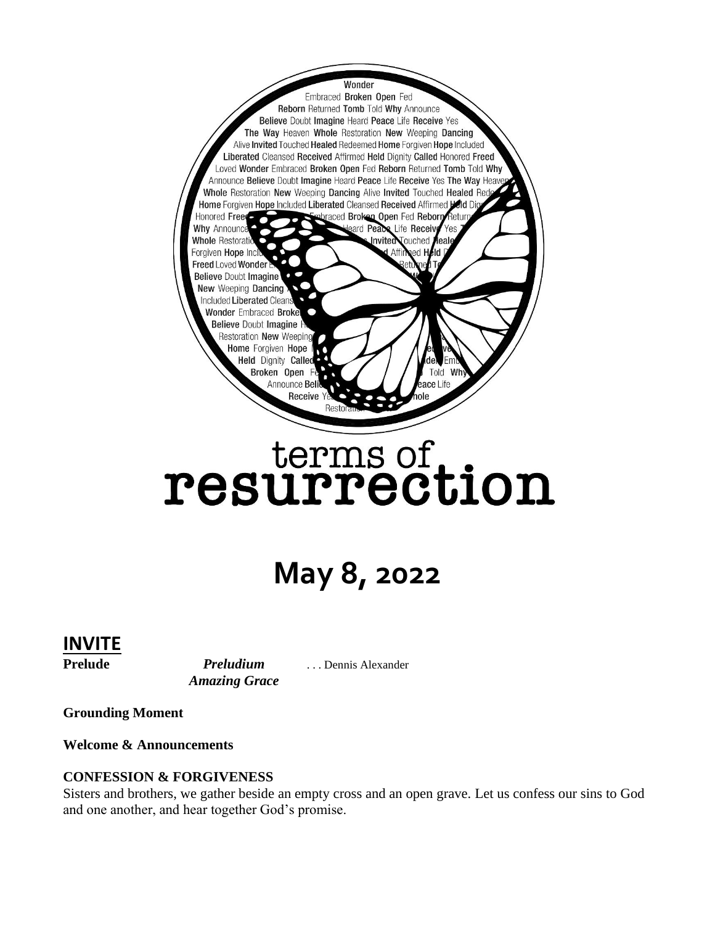

# terms of<br>resurrection

## **May 8, 2022**

#### **INVITE**

Prelude *Preludium* ... Dennis Alexander *Amazing Grace* 

**Grounding Moment**

**Welcome & Announcements**

#### **CONFESSION & FORGIVENESS**

Sisters and brothers, we gather beside an empty cross and an open grave. Let us confess our sins to God and one another, and hear together God's promise.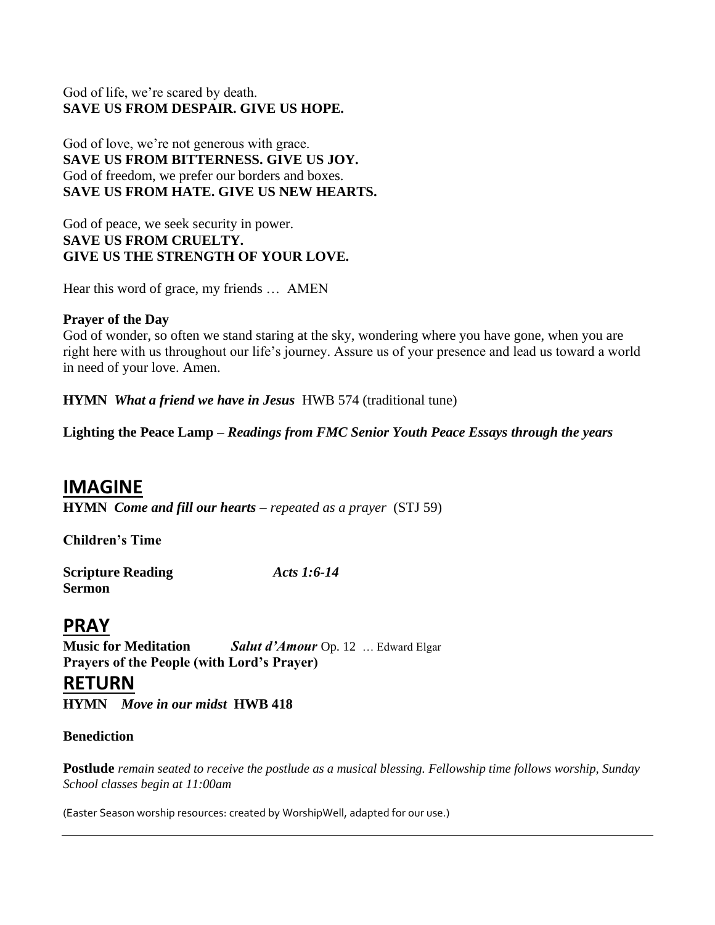#### God of life, we're scared by death. **SAVE US FROM DESPAIR. GIVE US HOPE.**

God of love, we're not generous with grace. **SAVE US FROM BITTERNESS. GIVE US JOY.**  God of freedom, we prefer our borders and boxes. **SAVE US FROM HATE. GIVE US NEW HEARTS.**

God of peace, we seek security in power. **SAVE US FROM CRUELTY. GIVE US THE STRENGTH OF YOUR LOVE.** 

Hear this word of grace, my friends … AMEN

#### **Prayer of the Day**

God of wonder, so often we stand staring at the sky, wondering where you have gone, when you are right here with us throughout our life's journey. Assure us of your presence and lead us toward a world in need of your love. Amen.

**HYMN** *What a friend we have in Jesus*HWB 574 (traditional tune)

**Lighting the Peace Lamp –** *Readings from FMC Senior Youth Peace Essays through the years*

#### **IMAGINE**

**HYMN** *Come and fill our hearts – repeated as a prayer* (STJ 59)

**Children's Time**

| <b>Scripture Reading</b> | Acts 1:6-14 |
|--------------------------|-------------|
| <b>Sermon</b>            |             |

#### **PRAY**

**Music for Meditation** *Salut d'Amour* Op. 12… Edward Elgar **Prayers of the People (with Lord's Prayer)**

#### **RETURN**

**HYMN** *Move in our midst* **HWB 418** 

#### **Benediction**

**Postlude** *remain seated to receive the postlude as a musical blessing. Fellowship time follows worship, Sunday School classes begin at 11:00am*

(Easter Season worship resources: created by WorshipWell, adapted for our use.)